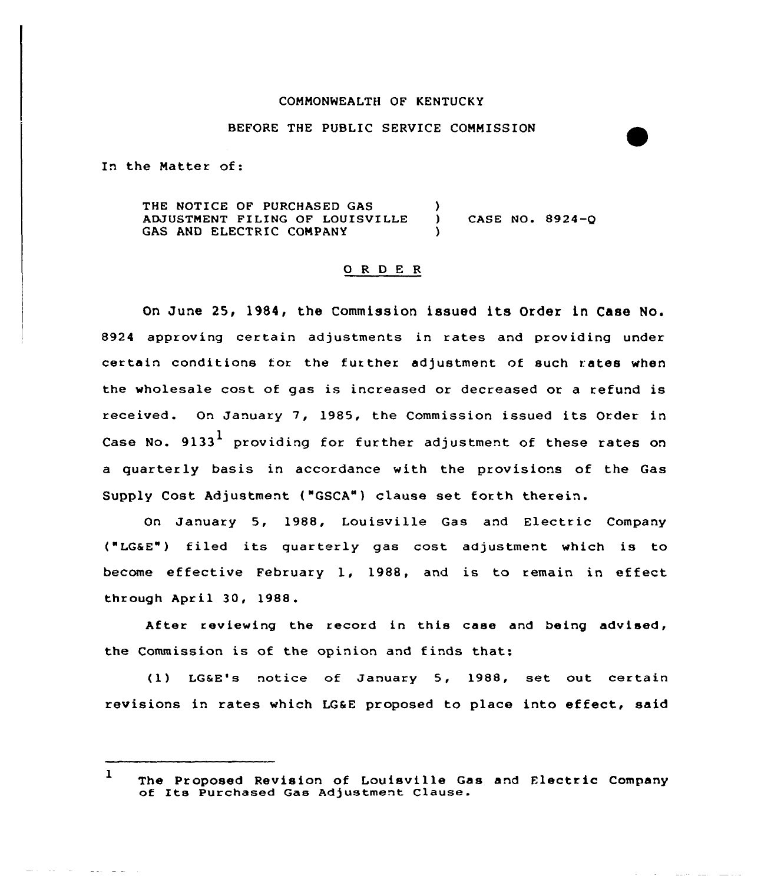## COMMONWEALTH OF KENTUCKY

## BEFORE THE PUBLIC SERVICE COMMISSION

In the Natter of:

THE NOTICE OF PURCHASED GAS ADJUSTMENT FILING OF LOUISVILLE GAS AND ELECTRIC COMPANY  $\mathbf{I}$ CASE NO. 8924-Q

## 0 <sup>R</sup> <sup>D</sup> E R

On June 25, 1984, the Commission issued its Order in Case No. 8924 approving certain adjustments in rates and providing under certain conditions tor the further adjustment of such rates when the wholesale cost of gas is increased or decreased or a refund is received. On January 7, 1985, the Commission issued its Order in Case No.  $9133^{\textstyle 1\overline{}}$  providing for further adjustment of these rates or a quarterly basis in accordance with the provisions of the Gas Supply Cost Adjustment ("GSCA") clause set forth therein.

On January 5, 1988, Louisville Gas and Electric Company ("LG&E") f iled its quarterly gas cost adjustment which is to become effective February 1, 1988, and is to remain in effect, through April 30, 1988.

After reviewing the record in this case and being advised, the Commission is of the opinion and finds that:

(1) LGsE's notice of January 5, 1988, set out certain revisions in rates which LG&E proposed to place into effect, said

<sup>1</sup> The Proposed Revision of Louisville Gas and Electric Company of Its Purchased Gas Adjustment Clause.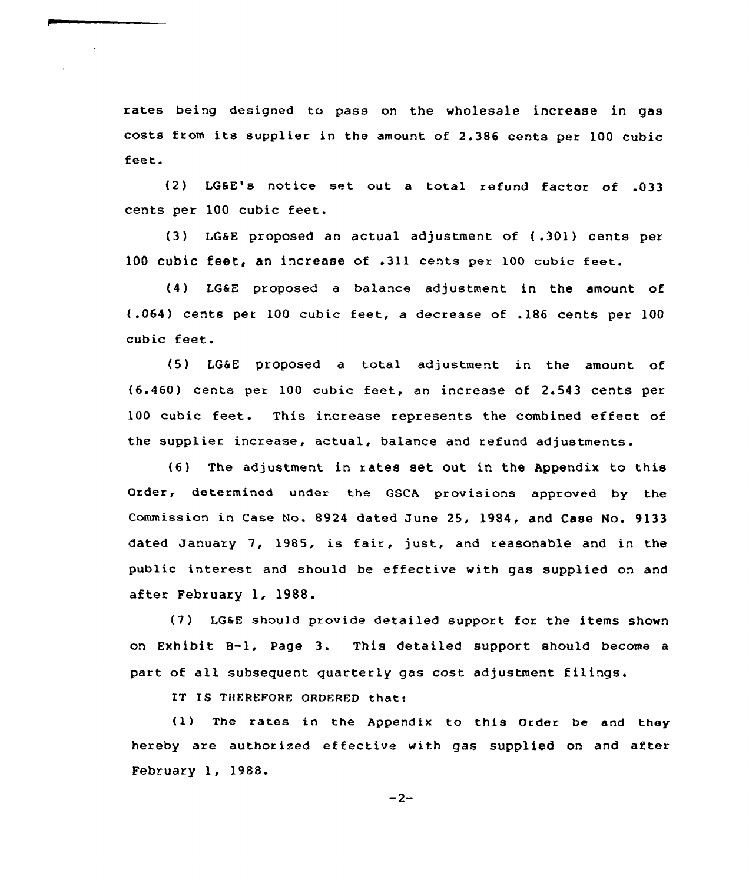rates being designed to pass on the wholesale increase in gas costs from its supplier in the amount of 2.386 cents pex 100 cubic feet.

(2) LGSE's notice set out <sup>a</sup> total refund factor of .033 cents per 100 cubic feet.

(3) LG6E pxoposed an actual adjustment of (.301) cents pex 100 cubic feet, an increase of .311 cents per 100 cubic feet.

(4) LG6E proposed a balance adjustment in the amount of (.064) cents per 100 cubic feet, a decrease of .186 cents per 100 cubic feet.

(5) LGSE proposed a total adjustment in the amount of (6.460) cents per 100 cubic feet, an increase of 2.543 cents per 100 cubic feet. This increase represents the combined effect of the supplier increase, actual, balance and refund adjustments.

{6) The adjustment in rates set out in the Appendix to this Order, determined under the GSCA provisions approved by the Commission in Case No. 8924 dated June 25, 1984, and Case No. 9133 dated January 7, 1985, is fair, just, and reasonable and in the public interest and should be effective with gas supplied on and after February 1, 1988.

{7) LG@E should provide detailed suppoxt for the items shown on Exhibit B-l, Page 3. This detailed support should become <sup>a</sup> part of all subsequent quarterly gas cost adjustment filings.

IT IS THEREFQRE ORDERED that:

(1) The rates in the Appendix to this Order be and they hereby are authorized effective with gas supplied on and after. February 1, 1988.

$$
-2-
$$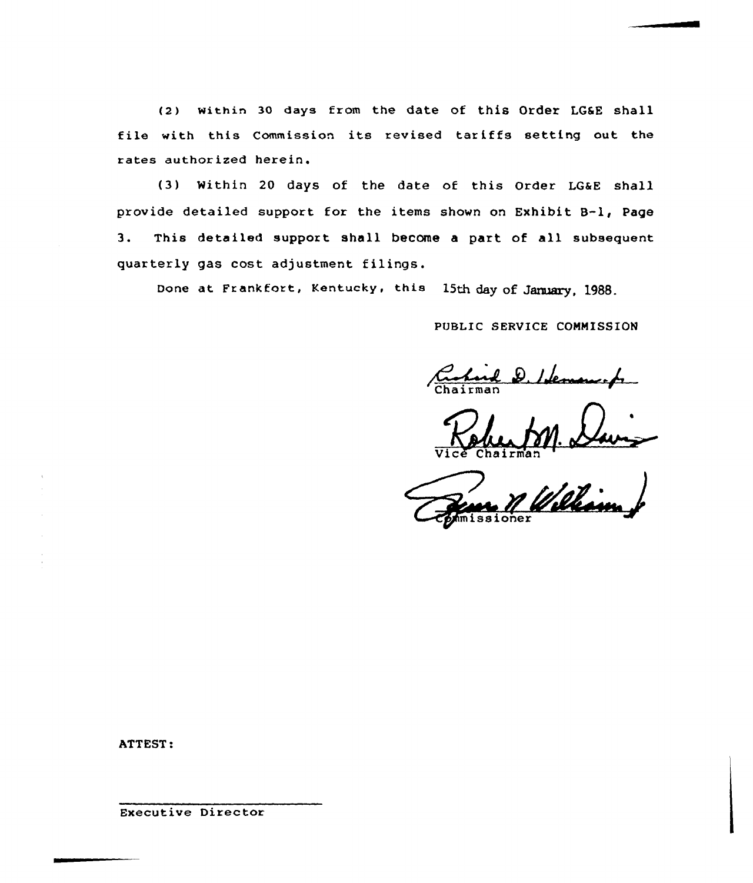(2) within 30 days from the date of this Order LG&E shall file with this Commission its revised tariffs setting out the rates authorized herein.

(3) Within 20 days of the date of this Order LG&E shall provide detailed support for the items shown on Exhibit B-l, Page 3. This detailed support shall become a part of all subsequent quarterly gas cost adjustment filings.

Done at Frankfort, Kentucky, this 15th day of January, 1988.

PUBLIC SERVICE COMMISSION

leman h

Vice Chairma

ATTEST:

Executive Director